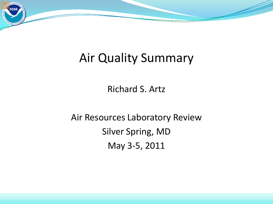

# Air Quality Summary

Richard S. Artz

Air Resources Laboratory Review Silver Spring, MD May 3-5, 2011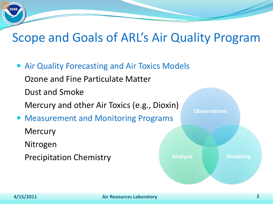# Scope and Goals of ARL's Air Quality Program

 Air Quality Forecasting and Air Toxics Models Ozone and Fine Particulate Matter Dust and Smoke Mercury and other Air Toxics (e.g., Dioxin) Measurement and Monitoring Programs **Mercury** Nitrogen Precipitation Chemistry **Observations Analysis Modeling**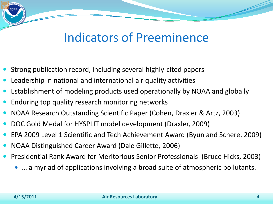# Indicators of Preeminence

- Strong publication record, including several highly-cited papers
- Leadership in national and international air quality activities
- Establishment of modeling products used operationally by NOAA and globally
- Enduring top quality research monitoring networks
- NOAA Research Outstanding Scientific Paper (Cohen, Draxler & Artz, 2003)
- DOC Gold Medal for HYSPLIT model development (Draxler, 2009)
- EPA 2009 Level 1 Scientific and Tech Achievement Award (Byun and Schere, 2009)
- NOAA Distinguished Career Award (Dale Gillette, 2006)
- Presidential Rank Award for Meritorious Senior Professionals (Bruce Hicks, 2003)
	- … a myriad of applications involving a broad suite of atmospheric pollutants.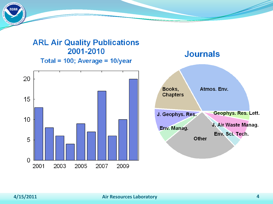#### **ARL Air Quality Publications** 2001-2010 Total = 100; Average = 10/year



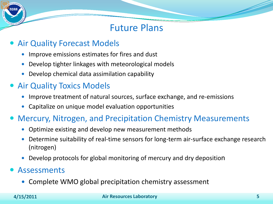## Future Plans

### Air Quality Forecast Models

- Improve emissions estimates for fires and dust
- Develop tighter linkages with meteorological models
- Develop chemical data assimilation capability

## • Air Quality Toxics Models

- Improve treatment of natural sources, surface exchange, and re-emissions
- Capitalize on unique model evaluation opportunities

### Mercury, Nitrogen, and Precipitation Chemistry Measurements

- Optimize existing and develop new measurement methods
- Determine suitability of real-time sensors for long-term air-surface exchange research (nitrogen)
- Develop protocols for global monitoring of mercury and dry deposition

### Assessments

• Complete WMO global precipitation chemistry assessment